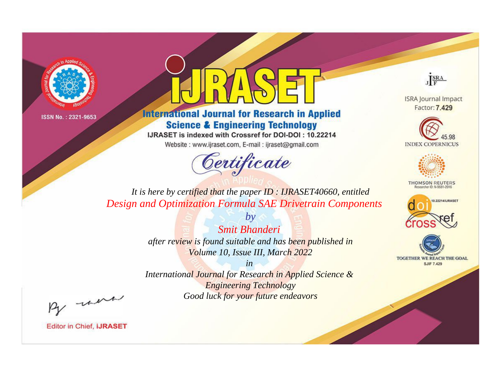



**International Journal for Research in Applied Science & Engineering Technology** 

IJRASET is indexed with Crossref for DOI-DOI: 10.22214

Website: www.ijraset.com, E-mail: ijraset@gmail.com



JERA

**ISRA Journal Impact** Factor: 7.429





**THOMSON REUTERS** 



TOGETHER WE REACH THE GOAL **SJIF 7.429** 

*It is here by certified that the paper ID : IJRASET40660, entitled Design and Optimization Formula SAE Drivetrain Components*

> *by Smit Bhanderi after review is found suitable and has been published in Volume 10, Issue III, March 2022*

> > *in*

*International Journal for Research in Applied Science & Engineering Technology Good luck for your future endeavors*

By morn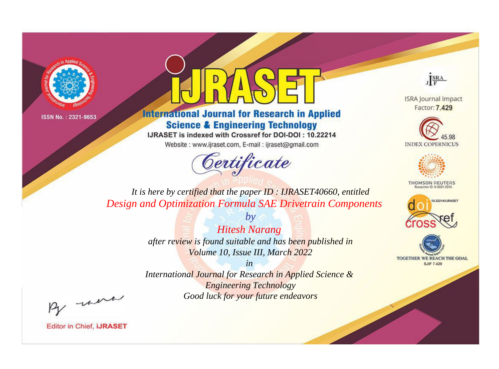



**International Journal for Research in Applied Science & Engineering Technology** 

IJRASET is indexed with Crossref for DOI-DOI: 10.22214

Website: www.ijraset.com, E-mail: ijraset@gmail.com



JERA

**ISRA Journal Impact** Factor: 7.429





**THOMSON REUTERS** 



TOGETHER WE REACH THE GOAL **SJIF 7.429** 

*It is here by certified that the paper ID : IJRASET40660, entitled Design and Optimization Formula SAE Drivetrain Components*

> *Hitesh Narang after review is found suitable and has been published in Volume 10, Issue III, March 2022*

*by*

*in* 

*International Journal for Research in Applied Science & Engineering Technology Good luck for your future endeavors*

By morn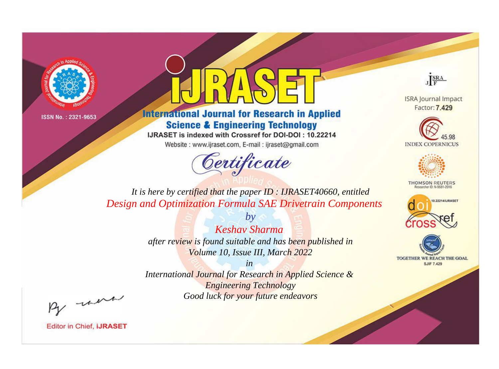



**International Journal for Research in Applied Science & Engineering Technology** 

IJRASET is indexed with Crossref for DOI-DOI: 10.22214

Website: www.ijraset.com, E-mail: ijraset@gmail.com



JERA

**ISRA Journal Impact** Factor: 7.429





**THOMSON REUTERS** 



TOGETHER WE REACH THE GOAL **SJIF 7.429** 

*It is here by certified that the paper ID : IJRASET40660, entitled Design and Optimization Formula SAE Drivetrain Components*

> *by Keshav Sharma after review is found suitable and has been published in Volume 10, Issue III, March 2022*

> > *in*

*International Journal for Research in Applied Science & Engineering Technology Good luck for your future endeavors*

By morn